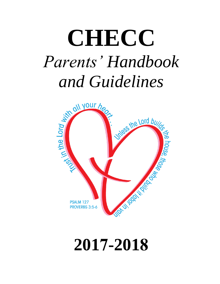# **CHECC**  *Parents' Handbook*



# **2017-2018**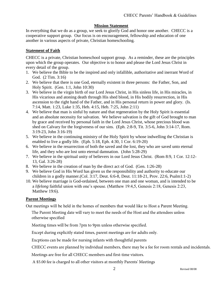### **Mission Statement**

In everything that we do as a group, we seek to glorify God and honor one another. CHECC is a cooperative support group. Our focus is on encouragement, fellowship and education of one another in various aspects of private, Christian homeschooling.

### **Statement of Faith**

CHECC is a private, Christian homeschool support group. As a reminder, these are the principles upon which the group operates. Our objective is to honor and please the Lord Jesus Christ in every detail of the group.

- 1. We believe the Bible to be the inspired and only infallible, authoritative and inerrant Word of God. (2 Tim. 3:16)
- 2. We believe that there is one God, eternally existent in three persons: the Father, Son, and Holy Spirit. (Gen. 1:1, John 10:30)
- 3. We believe in the virgin birth of our Lord Jesus Christ, in His sinless life, in His miracles, in His vicarious and atoning death through His shed blood, in His bodily resurrection, in His ascension to the right hand of the Father, and in His personal return in power and glory. (Is. 7:14, Matt. 1:23, Luke 1:35, Heb. 4:15, Heb. 7:25, John 2:11)
- 4. We believe that man is sinful by nature and that regeneration by the Holy Spirit is essential and an absolute necessity for salvation. We believe salvation is the gift of God brought to man by grace and received by personal faith in the Lord Jesus Christ, whose precious blood was shed on Calvary for the forgiveness of our sins. (Eph. 2:8-9, Tit. 3:5-6, John 3:14-17, Rom. 3:19-23, John 3:16-19)
- 5. We believe in the continuing ministry of the Holy Spirit by whose indwelling the Christian is enabled to live a godly life. (Eph. 5:18, Eph. 4:30, 1 Cor. 6:19-20)
- 6. We believe in the resurrection of both the saved and the lost, they who are saved unto eternal life, and they who are lost unto eternal damnation. (John 5:28-29)
- 7. We believe in the spiritual unity of believers in our Lord Jesus Christ. (Rom 8:9, 1 Cor. 12:12- 13, Gal. 3:26-28)
- 8. We believe in the creation of man by the direct act of God. (Gen. 1:26-28)
- 9. We believe God in His Word has given us the responsibility and authority to educate our children in a godly manner.(Col. 3:17, Deut. 6:6-8, Deut. 11:18-21, Prov. 22:6, Psalm1:1-2)
- 10. We believe marriage is God-ordained, between one man and one woman, and is intended to be a *lifelong* faithful union with one's spouse. (Matthew 19:4,5, Genesis 2:18, Genesis 2:23, Matthew 19:6).

### **Parent Meetings**

Out meetings will be held in the homes of members that would like to Host a Parent Meeting.

The Parent Meeting date will vary to meet the needs of the Host and the attendees unless otherwise specified

Meeting times will be from 7pm to 9pm unless otherwise specified.

Except during explicitly stated times, parent meetings are for adults only.

Excptions can be made for nursing infants with thoughtful parents

CHECC events are planned by individual members, there may be a fee for room rentals and incidentals.

Meetings are free for all CHECC members and first-time visitors.

A \$5.00 fee is charged to all other visitors at monthly Parents' Meetings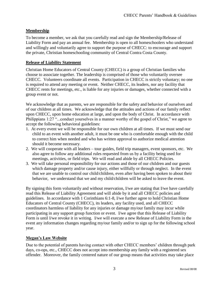# **Membership**

To become a member, we ask that you carefully read and sign the Membership/Release of Liability Form and pay an annual fee. Membership is open to all homeschoolers who understand and willingly and voluntarily agree to support the purpose of CHECC: to encourage and support the private, Christian homeschooling community of Central Contra Costa County.

### **Release of Liability Statement**

Christian Home Educators of Central County (CHECC) is a group of Christian families who choose to associate together. The leadership is comprised of those who voluntarily oversee CHECC. Volunteers coordinate all events. Participation in CHECC is strictly voluntary; no one is required to attend any meeting or event. Neither CHECC, its leaders, nor any facility that CHECC rents for meetings, etc., is liable for any injuries or damages, whether connected with a group event or not.

We acknowledge that as parents, we are responsible for the safety and behavior of ourselves and of our children at all times. We acknowledge that the attitudes and actions of our family reflect upon CHECC, upon home education at large, and upon the body of Christ. In accordance with Philippians 1:27 "...conduct yourselves in a manner worthy of the gospel of Christ," we agree to accept the following behavioral guidelines:

- 1. At every event we will be responsible for our own children at all times. If we must send our child to an event with another adult, it must be one who is comfortable enough with the child to correct him when needed and who has written approval to authorize medical attention should it become necessary.
- 2. We will cooperate with all leaders tour guides, field trip managers, event sponsors, etc. We also agree to follow any additional rules requested from us by a facility being used for meetings, activities, or field trips. We will read and abide by all CHECC Policies.
- 3. We will take personal responsibility for our actions and those of our children and our guests which damage property and/or cause injury, either willfully or through neglect. In the event that we are unable to control our child/children, even after having been spoken to about their behavior, we understand that we and my child/children will be asked to leave the event.

By signing this form voluntarily and without reservation, I/we are stating that I/we have carefully read this Release of Liability Agreement and will abide by it and all CHECC policies and guidelines. In accordance with 1 Corinthians 6:1-8, I/we further agree to hold Christian Home Educators of Central County (CHECC), its leaders, any facility used, and all CHECC coordinators harmless of liability for any injuries or damage my/our family may incur while participating in any support group function or event. I/we agree that this Release of Liability Form is until I/we revoke it in writing. I/we will execute a new Release of Liability Form in the event any information changes regarding my/our family and/or to sign up for the following school year.

### **Megan's Law Website**

Due to the potential of parents having contact with other CHECC members' children through park days, co-ops, etc., CHECC does not accept into membership any family with a registered sex offender. Moreover, the family centered nature of our group means that activities may take place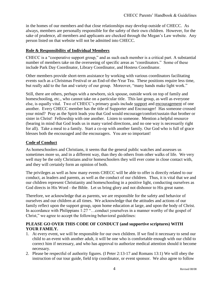in the homes of our members and that close relationships may develop outside of CHECC. As always, members are personally responsible for the safety of their own children. However, for the sake of prudence, all members and applicants are checked through the Megan's Law website. Any person listed on that website will not be admitted into CHECC.

### **Role & Responsibility of Individual Members**

CHECC is a "cooperative support group," and as such each member is a critical part. A substantial number of members take on the overseeing of specific areas as "coordinators." Some of these include Park Day Coordinator, Library Coordinator, and Hostess Coordinator.

Other members provide short-term assistance by working with various coordinators facilitating events such as a Christmas Festival or an End-of-the-Year Tea. These positions require less time, but really add to the fun and variety of our group. Moreover, "many hands make light work."

Still, there are others, perhaps with a newborn, sick spouse, outside work on top of family and homeschooling, etc., who cannot take on a particular title. This last group, as well as everyone else, is equally vital. Two of CHECC's primary goals include support and encouragement of one another. Every CHECC member has the title of Supporter and Encourager! Has someone crossed your mind? Pray as the Spirit leads you that God would encourage/comfort/sustain that brother or sister in Christ! Fellowship with one another. Listen to someone. Mention a helpful resource (bearing in mind that God leads us in many varied directions, and no one way is necessarily right for all). Take a meal to a family. Start a co-op with another family. Our God who is full of grace blesses both the encouraged and the encouragers. You are so important!

### **Code of Conduct**

As homeschoolers and Christians, it seems that the general public watches and assesses us sometimes more so, and in a different way, than they do others from other walks of life. We very well may be the only Christians and/or homeschoolers they will ever come in close contact with, and they will certainly form an opinion of both.

The privileges as well as how many events CHECC will be able to offer is directly related to our conduct, as leaders and parents, as well as the conduct of our children. Thus, it is vital that we and our children represent Christianity and homeschooling in a positive light, conducting ourselves as God directs in His Word - the Bible. Let us bring glory and not dishonor to His great name.

Therefore, we acknowledge that as parents, we are responsible for the safety and behavior of ourselves and our children at all times. We acknowledge that the attitudes and actions of our family reflect upon the support group, upon home education at large, and upon the body of Christ. In accordance with Philippians 1:27 "...conduct yourselves in a manner worthy of the gospel of Christ," we agree to accept the following behavioral guidelines:

### **PLEASE GO OVER THIS CODE OF CONDUCT (and supportive scriptures) WITH YOUR FAMILY.**

- 1. At every event, we will be responsible for our own children. If we find it necessary to send our child to an event with another adult, it will be one who is comfortable enough with our child to correct him if necessary, and who has approval to authorize medical attention should it become necessary.
- 2. Please be respectful of authority figures. (I Peter 2:13-17 and Romans 13:1) We will obey the instruction of our tour guide, field trip coordinator, or event sponsor. We also agree to follow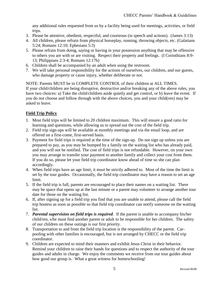any additional rules requested from us by a facility being used for meetings, activities, or field trips.

- 3. Please be attentive, obedient, respectful, and courteous (in speech and actions). (James 3:13)
- 4. All children, please refrain from physical horseplay, running, throwing objects, etc. (Galatians 5:24; Romans 12:10; Ephesians 5:3)
- 5. Please refrain from doing, saying or having in your possession anything that may be offensive to others you are with or are visiting. Respect their property and feelings. (I Corinthians 8:9- 13; Philippians 2:3-4; Romans 12:17b)
- 6. Children shall be accompanied by an adult when using the restroom.
- 7. We will take personal responsibility for the actions of ourselves, our children, and our guests, who damage property or cause injury, whether deliberate or not.

NOTE: Parents MUST be in COMPLETE CONTROL of their children at ALL TIMES. If your child/children are being disruptive, destructive and/or breaking any of the above rules, you have two choices: a) Take the child/children aside quietly and get control, or b) leave the event. If you do not choose and follow through with the above choices, you and your child(ren) may be asked to leave.

### **Field Trip Policy**

- 1. Most field trips will be limited to 20 children maximum. This will ensure a good ratio for learning and questions, while allowing us to spread out the cost of the field trip.
- 2. Field trip sign-ups will be available at monthly meetings and via the email loop, and are offered on a first-come, first-served basis.
- 3. Payment for field trips is required at the time of the sign-up. Do not sign up unless you are prepared to pay, as you may be bumped by a family on the waiting list who has already paid, and you will not be notified. The cost of field trips is not refundable. However, on your own you may arrange to transfer your payment to another family and collect your cost from them. If you do so, please let your field trip coordinator know ahead of time so she can plan accordingly.
- 4. When field trips have an age limit, it must be strictly adhered to. Most of the time the limit is set by the tour guides. Occasionally, the field trip coordinator may have a reason to set an age limit.
- 5. If the field trip is full, parents are encouraged to place their names on a waiting list. There may be space that opens up at the last minute or a parent may volunteer to arrange another tour date for those on the waiting list.
- 6. If, after signing up for a field trip you find that you are unable to attend, please call the field trip hostess as soon as possible so that field trip coordinator can notify someone on the waiting list.
- 7. *Parental supervision on field trips is required*. If the parent is unable to accompany his/her child/ren, s/he must find another parent or adult to be responsible for her children. The safety of our children on these outings is our first priority.
- 8. Transportation to and from the field trip location is the responsibility of the parent. Carpooling with other families is encouraged, but is not arranged by CHECC or the field trip coordinator.
- 9. Children are expected to mind their manners and exhibit Jesus Christ in their behavior. Remind your children to raise their hands for questions and to respect the authority of the tour guides and adults in charge. We enjoy the comments we receive from our tour guides about how good our group is. What a great witness for homeschooling!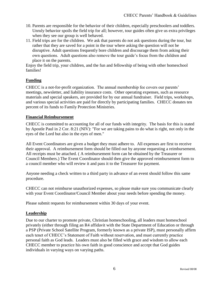- 10. Parents are responsible for the behavior of their children, especially preschoolers and toddlers. Unruly behavior spoils the field trip for all; however, tour guides often give us extra privileges when they see our group is well behaved.
- 11. Field trips are for the children. We ask that parents do not ask questions during the tour, but rather that they are saved for a point in the tour where asking the question will not be disruptive. Adult questions frequently bore children and discourage them from asking their own questions. Adult questions also remove the tour guide's focus from the children and place it on the parents.

Enjoy the field trip, your children, and the fun and fellowship of being with other homeschool families!

# **Funding**

CHECC is a not-for-profit organization. The annual membership fee covers our parents' meetings, newsletter, and liability insurance costs. Other operating expenses, such as resource materials and special speakers, are provided for by our annual fundraiser. Field trips, workshops, and various special activities are paid for directly by participating families. CHECC donates ten percent of its funds to Family Protection Ministries.

### **Financial Reimbursement**

CHECC is committed to accounting for all of our funds with integrity. The basis for this is stated by Apostle Paul in 2 Cor. 8:21 (NIV): "For we are taking pains to do what is right, not only in the eyes of the Lord but also in the eyes of men."

All Event Coordinators are given a budget they must adhere to. All expenses are first to receive their approval. A reimbursement form should be filled out by anyone requesting a reimbursement. All receipts must be attached. ( A reimbursement form can be obtained by the Treasurer or Council Members.) The Event Coordinator should then give the approved reimbursement form to a council member who will review it and pass it to the Treasurer for payment.

Anyone needing a check written to a third party in advance of an event should follow this same procedure.

CHECC can not reimburse unauthorized expenses, so please make sure you communicate clearly with your Event Coordinator/Council Member about your needs before spending the money.

Please submit requests for reimbursement within 30 days of your event.

### **Leadership**

Due to our charter to promote private, Christian homeschooling, all leaders must homeschool privately (either through filing an R4 affidavit with the State Department of Education or through a PSP (Private School Satellite Program, formerly known as a private ISP), must personally affirm each tenet of CHECC's Statement of Faith without reservation, and must currently practice personal faith as God leads. Leaders must also be filled with grace and wisdom to allow each CHECC member to practice his own faith in good conscience and accept that God guides individuals in varying ways on varying paths.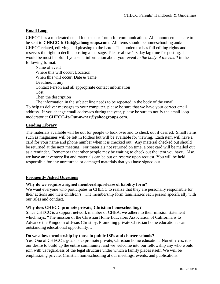### **Email Loop**

CHECC has a moderated email loop as our forum for communication. All announcements are to be sent to **CHECC-It-Out@yahoogroups.com**. All items should be homeschooling and/or CHECC related, edifying and pleasing to the Lord. The moderator has full editing rights and reserves the right to decline posting a message. Please allow 1-3 day lag time for posting. It would be most helpful if you send information about your event *in the body of the email* in the following format:

Name of event Where this will occur: Location When this will occur: Date & Time Deadline: if any Contact Person and all appropriate contact information Cost: Then the description

The information in the subject line needs to be repeated in the body of the email. To help us deliver messages to your computer, please be sure that we have your correct email address. If you change email addresses during the year, please be sure to notify the email loop moderator at **[CHECC-It-Out-owner@yahoogroups.com](mailto:CHECC-It-Out-owner@yahoogroups.com)**.

### **Lending Library**

The materials available will be out for people to look over and to check out if desired. Small items such as magazines will be left in folders but will be available for viewing. Each item will have a card for your name and phone number when it is checked out. Any material checked out should be returned at the next meeting. For materials not returned on time, a post card will be mailed out as a reminder. Remember that other people may be waiting to check out the item you have. Also, we have an inventory list and materials can be put on reserve upon request. You will be held responsible for any unreturned or damaged materials that you have signed out.

### **Frequently Asked Questions**

### **Why do we require a signed membership/release of liability form?**

We want everyone who participates in CHECC to realize that they are personally responsible for their actions and their children's. The membership form familiarizes each person specifically with our rules and conduct.

### **Why does CHECC promote private, Christian homeschooling?**

Since CHECC is a support network member of CHEA, we adhere to their mission statement which says, "The mission of the Christian Home Educators Association of California is to Advance the Kingdom of Jesus Christ by: Promoting private Christian home education as an outstanding educational opportunity…"

### **Do we allow membership by those in public ISPs and charter schools?**

Yes. One of CHECC's goals is to promote private, Christian home education. Nonetheless, it is our desire to build up the entire community, and we welcome into our fellowship any who would join with us regardless of the legal structure under which a family places itself. We will be emphasizing private, Christian homeschooling at our meetings, events, and publications.